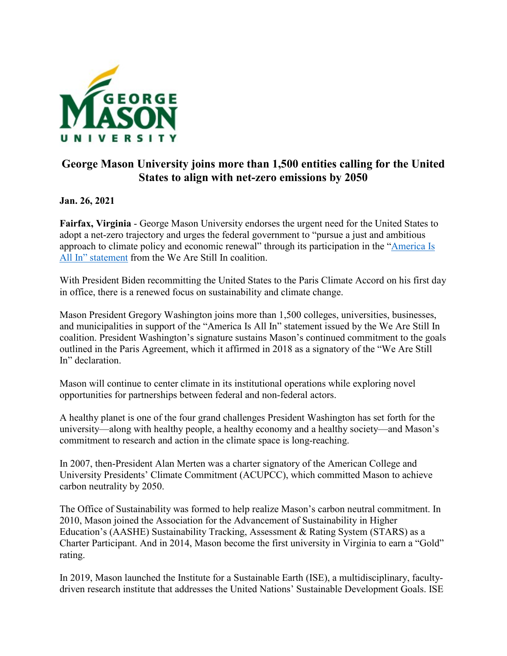

## **George Mason University joins more than 1,500 entities calling for the United States to align with net-zero emissions by 2050**

## **Jan. 26, 2021**

**Fairfax, Virginia** - George Mason University endorses the urgent need for the United States to adopt a net-zero trajectory and urges the federal government to "pursue a just and ambitious approach to climate policy and economic renewal" through its participation in the ["America Is](https://americaisallin.com/)  All In" [statement](https://americaisallin.com/) from the We Are Still In coalition.

With President Biden recommitting the United States to the Paris Climate Accord on his first day in office, there is a renewed focus on sustainability and climate change.

Mason President Gregory Washington joins more than 1,500 colleges, universities, businesses, and municipalities in support of the "America Is All In" statement issued by the We Are Still In coalition. President Washington's signature sustains Mason's continued commitment to the goals outlined in the Paris Agreement, which it affirmed in 2018 as a signatory of the "We Are Still In" declaration.

Mason will continue to center climate in its institutional operations while exploring novel opportunities for partnerships between federal and non-federal actors.

A healthy planet is one of the four grand challenges President Washington has set forth for the university—along with healthy people, a healthy economy and a healthy society—and Mason's commitment to research and action in the climate space is long-reaching.

In 2007, then-President Alan Merten was a charter signatory of the American College and University Presidents' Climate Commitment (ACUPCC), which committed Mason to achieve carbon neutrality by 2050.

The Office of Sustainability was formed to help realize Mason's carbon neutral commitment. In 2010, Mason joined the Association for the Advancement of Sustainability in Higher Education's (AASHE) Sustainability Tracking, Assessment & Rating System (STARS) as a Charter Participant. And in 2014, Mason become the first university in Virginia to earn a "Gold" rating.

In 2019, Mason launched the Institute for a Sustainable Earth (ISE), a multidisciplinary, facultydriven research institute that addresses the United Nations' Sustainable Development Goals. ISE